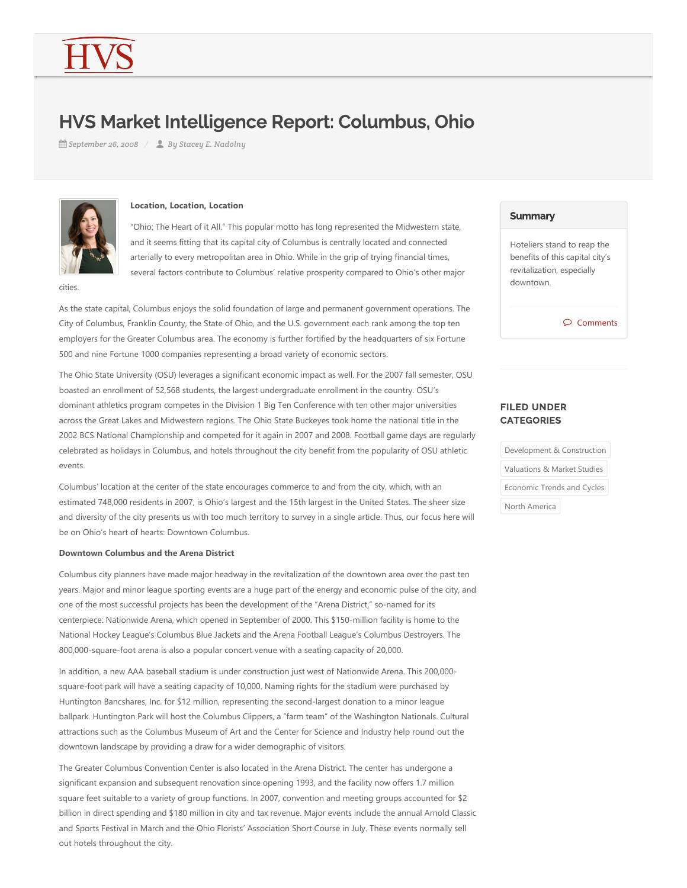# HVS Market Intelligence Report: Columbus, Ohio

*September 26, 2008 By Stacey E. Nadolny*



#### **Location, Location, Location**

"Ohio: The Heart of it All." This popular motto has long represented the Midwestern state, and it seems fitting that its capital city of Columbus is centrally located and connected arterially to every metropolitan area in Ohio. While in the grip of trying financial times, several factors contribute to Columbus' relative prosperity compared to Ohio's other major

cities.

As the state capital, Columbus enjoys the solid foundation of large and permanent government operations. The City of Columbus, Franklin County, the State of Ohio, and the U.S. government each rank among the top ten employers for the Greater Columbus area. The economy is further fortified by the headquarters of six Fortune 500 and nine Fortune 1000 companies representing a broad variety of economic sectors.

The Ohio State University (OSU) leverages a significant economic impact as well. For the 2007 fall semester, OSU boasted an enrollment of 52,568 students, the largest undergraduate enrollment in the country. OSU's dominant athletics program competes in the Division 1 Big Ten Conference with ten other major universities across the Great Lakes and Midwestern regions. The Ohio State Buckeyes took home the national title in the 2002 BCS National Championship and competed for it again in 2007 and 2008. Football game days are regularly celebrated as holidays in Columbus, and hotels throughout the city benefit from the popularity of OSU athletic events.

Columbus' location at the center of the state encourages commerce to and from the city, which, with an estimated 748,000 residents in 2007, is Ohio's largest and the 15th largest in the United States. The sheer size and diversity of the city presents us with too much territory to survey in a single article. Thus, our focus here will be on Ohio's heart of hearts: Downtown Columbus.

# **Downtown Columbus and the Arena District**

Columbus city planners have made major headway in the revitalization of the downtown area over the past ten years. Major and minor league sporting events are a huge part of the energy and economic pulse of the city, and one of the most successful projects has been the development of the "Arena District," so-named for its centerpiece: Nationwide Arena, which opened in September of 2000. This \$150-million facility is home to the National Hockey League's Columbus Blue Jackets and the Arena Football League's Columbus Destroyers. The 800,000-square-foot arena is also a popular concert venue with a seating capacity of 20,000.

In addition, a new AAA baseball stadium is under construction just west of Nationwide Arena. This 200,000square-foot park will have a seating capacity of 10,000. Naming rights for the stadium were purchased by Huntington Bancshares, Inc. for \$12 million, representing the second-largest donation to a minor league ballpark. Huntington Park will host the Columbus Clippers, a "farm team" of the Washington Nationals. Cultural attractions such as the Columbus Museum of Art and the Center for Science and Industry help round out the downtown landscape by providing a draw for a wider demographic of visitors.

The Greater Columbus Convention Center is also located in the Arena District. The center has undergone a significant expansion and subsequent renovation since opening 1993, and the facility now offers 1.7 million square feet suitable to a variety of group functions. In 2007, convention and meeting groups accounted for \$2 billion in direct spending and \$180 million in city and tax revenue. Major events include the annual Arnold Classic and Sports Festival in March and the Ohio Florists' Association Short Course in July. These events normally sell out hotels throughout the city.

### **Summary**

Hoteliers stand to reap the benefits of this capital city's revitalization, especially downtown.

Comments

# FILED UNDER **CATEGORIES**

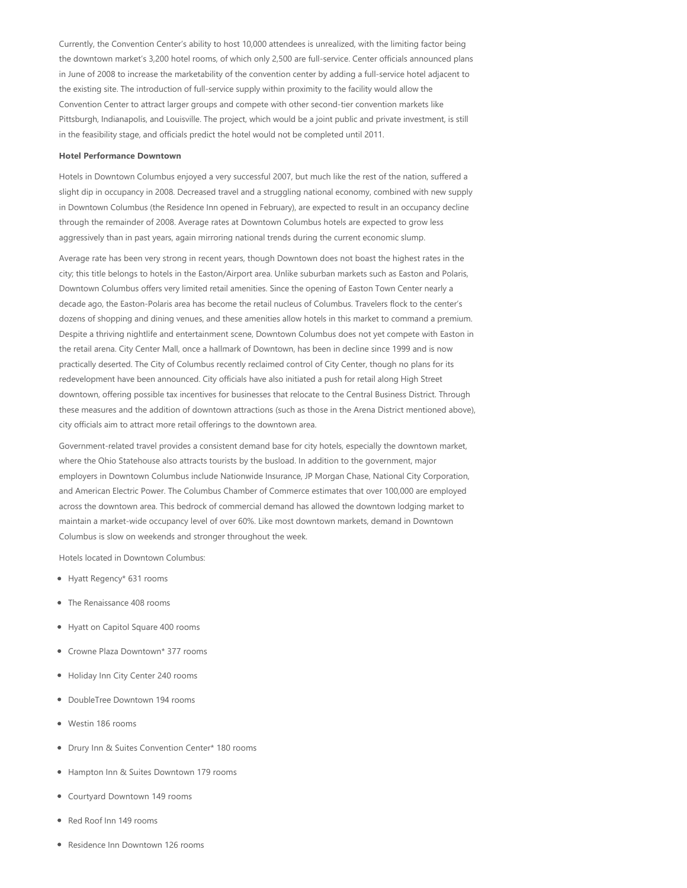Currently, the Convention Center's ability to host 10,000 attendees is unrealized, with the limiting factor being the downtown market's 3,200 hotel rooms, of which only 2,500 are full-service. Center officials announced plans in June of 2008 to increase the marketability of the convention center by adding a full‐service hotel adjacent to the existing site. The introduction of full‐service supply within proximity to the facility would allow the Convention Center to attract larger groups and compete with other second‐tier convention markets like Pittsburgh, Indianapolis, and Louisville. The project, which would be a joint public and private investment, is still in the feasibility stage, and officials predict the hotel would not be completed until 2011.

#### **Hotel Performance Downtown**

Hotels in Downtown Columbus enjoyed a very successful 2007, but much like the rest of the nation, suffered a slight dip in occupancy in 2008. Decreased travel and a struggling national economy, combined with new supply in Downtown Columbus (the Residence Inn opened in February), are expected to result in an occupancy decline through the remainder of 2008. Average rates at Downtown Columbus hotels are expected to grow less aggressively than in past years, again mirroring national trends during the current economic slump.

Average rate has been very strong in recent years, though Downtown does not boast the highest rates in the city; this title belongs to hotels in the Easton/Airport area. Unlike suburban markets such as Easton and Polaris, Downtown Columbus offers very limited retail amenities. Since the opening of Easton Town Center nearly a decade ago, the Easton‐Polaris area has become the retail nucleus of Columbus. Travelers flock to the center's dozens of shopping and dining venues, and these amenities allow hotels in this market to command a premium. Despite a thriving nightlife and entertainment scene, Downtown Columbus does not yet compete with Easton in the retail arena. City Center Mall, once a hallmark of Downtown, has been in decline since 1999 and is now practically deserted. The City of Columbus recently reclaimed control of City Center, though no plans for its redevelopment have been announced. City officials have also initiated a push for retail along High Street downtown, offering possible tax incentives for businesses that relocate to the Central Business District. Through these measures and the addition of downtown attractions (such as those in the Arena District mentioned above), city officials aim to attract more retail offerings to the downtown area.

Government-related travel provides a consistent demand base for city hotels, especially the downtown market, where the Ohio Statehouse also attracts tourists by the busload. In addition to the government, major employers in Downtown Columbus include Nationwide Insurance, JP Morgan Chase, National City Corporation, and American Electric Power. The Columbus Chamber of Commerce estimates that over 100,000 are employed across the downtown area. This bedrock of commercial demand has allowed the downtown lodging market to maintain a market‐wide occupancy level of over 60%. Like most downtown markets, demand in Downtown Columbus is slow on weekends and stronger throughout the week.

Hotels located in Downtown Columbus:

- Hyatt Regency\* 631 rooms
- The Renaissance 408 rooms
- Hyatt on Capitol Square 400 rooms
- Crowne Plaza Downtown\* 377 rooms
- Holiday Inn City Center 240 rooms
- DoubleTree Downtown 194 rooms
- Westin 186 rooms
- Drury Inn & Suites Convention Center\* 180 rooms
- Hampton Inn & Suites Downtown 179 rooms
- Courtyard Downtown 149 rooms
- Red Roof Inn 149 rooms
- Residence Inn Downtown 126 rooms